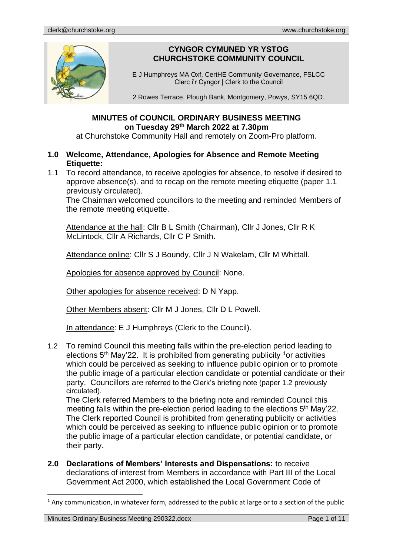

# **CYNGOR CYMUNED YR YSTOG CHURCHSTOKE COMMUNITY COUNCIL**

E J Humphreys MA Oxf, CertHE Community Governance, FSLCC Clerc i'r Cyngor | Clerk to the Council

2 Rowes Terrace, Plough Bank, Montgomery, Powys, SY15 6QD.

## **MINUTES of COUNCIL ORDINARY BUSINESS MEETING on Tuesday 29th March 2022 at 7.30pm**

at Churchstoke Community Hall and remotely on Zoom-Pro platform.

## **1.0 Welcome, Attendance, Apologies for Absence and Remote Meeting Etiquette:**

1.1 To record attendance, to receive apologies for absence, to resolve if desired to approve absence(s). and to recap on the remote meeting etiquette (paper 1.1 previously circulated).

The Chairman welcomed councillors to the meeting and reminded Members of the remote meeting etiquette.

Attendance at the hall: Cllr B L Smith (Chairman), Cllr J Jones, Cllr R K McLintock, Cllr A Richards, Cllr C P Smith.

Attendance online: Cllr S J Boundy, Cllr J N Wakelam, Cllr M Whittall.

Apologies for absence approved by Council: None.

Other apologies for absence received: D N Yapp.

Other Members absent: Cllr M J Jones, Cllr D L Powell.

In attendance: E J Humphreys (Clerk to the Council).

1.2 To remind Council this meeting falls within the pre-election period leading to elections  $5<sup>th</sup>$  May'22. It is prohibited from generating publicity <sup>1</sup> or activities which could be perceived as seeking to influence public opinion or to promote the public image of a particular election candidate or potential candidate or their party. Councillors are referred to the Clerk's briefing note (paper 1.2 previously circulated).

The Clerk referred Members to the briefing note and reminded Council this meeting falls within the pre-election period leading to the elections 5<sup>th</sup> May'22. The Clerk reported Council is prohibited from generating publicity or activities which could be perceived as seeking to influence public opinion or to promote the public image of a particular election candidate, or potential candidate, or their party.

**2.0 Declarations of Members' Interests and Dispensations:** to receive declarations of interest from Members in accordance with Part III of the Local Government Act 2000, which established the Local Government Code of

 $<sup>1</sup>$  Any communication, in whatever form, addressed to the public at large or to a section of the public</sup>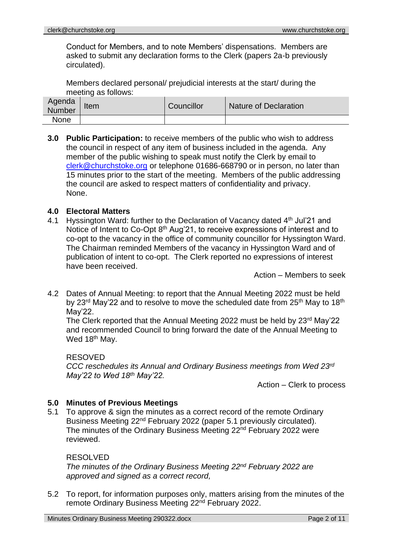Conduct for Members, and to note Members' dispensations. Members are asked to submit any declaration forms to the Clerk (papers 2a-b previously circulated).

Members declared personal/ prejudicial interests at the start/ during the meeting as follows:

| Agenda<br>Number | Item | Councillor | Nature of Declaration |
|------------------|------|------------|-----------------------|
| None             |      |            |                       |

**3.0 Public Participation:** to receive members of the public who wish to address the council in respect of any item of business included in the agenda. Any member of the public wishing to speak must notify the Clerk by email to [clerk@churchstoke.org](mailto:clerk@churchstoke.org) or telephone 01686-668790 or in person, no later than 15 minutes prior to the start of the meeting. Members of the public addressing the council are asked to respect matters of confidentiality and privacy. None.

#### **4.0 Electoral Matters**

4.1 Hyssington Ward: further to the Declaration of Vacancy dated 4<sup>th</sup> Jul'21 and Notice of Intent to Co-Opt 8<sup>th</sup> Aug'21, to receive expressions of interest and to co-opt to the vacancy in the office of community councillor for Hyssington Ward. The Chairman reminded Members of the vacancy in Hyssington Ward and of publication of intent to co-opt. The Clerk reported no expressions of interest have been received.

Action – Members to seek

4.2 Dates of Annual Meeting: to report that the Annual Meeting 2022 must be held by 23<sup>rd</sup> May'22 and to resolve to move the scheduled date from 25<sup>th</sup> May to 18<sup>th</sup> May'22.

The Clerk reported that the Annual Meeting 2022 must be held by 23<sup>rd</sup> May'22 and recommended Council to bring forward the date of the Annual Meeting to Wed 18<sup>th</sup> May.

RESOVED

*CCC reschedules its Annual and Ordinary Business meetings from Wed 23rd May'22 to Wed 18th May'22.*

Action – Clerk to process

#### **5.0 Minutes of Previous Meetings**

5.1 To approve & sign the minutes as a correct record of the remote Ordinary Business Meeting 22nd February 2022 (paper 5.1 previously circulated). The minutes of the Ordinary Business Meeting 22nd February 2022 were reviewed.

#### RESOLVED

*The minutes of the Ordinary Business Meeting 22nd February 2022 are approved and signed as a correct record,*

5.2 To report, for information purposes only, matters arising from the minutes of the remote Ordinary Business Meeting 22nd February 2022.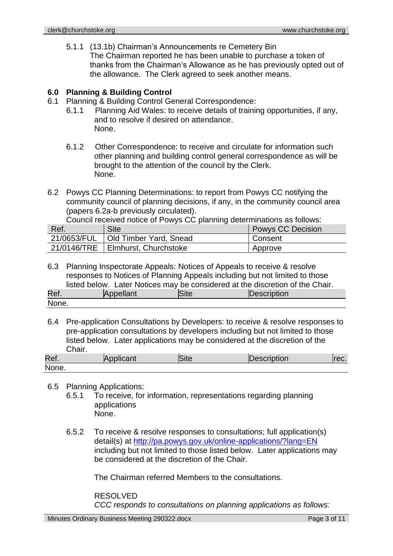5.1.1 (13.1b) Chairman's Announcements re Cemetery Bin The Chairman reported he has been unable to purchase a token of thanks from the Chairman's Allowance as he has previously opted out of the allowance. The Clerk agreed to seek another means.

## **6.0 Planning & Building Control**

- 6.1 Planning & Building Control General Correspondence:
	- 6.1.1 Planning Aid Wales: to receive details of training opportunities, if any, and to resolve if desired on attendance. None.
	- 6.1.2 Other Correspondence: to receive and circulate for information such other planning and building control general correspondence as will be brought to the attention of the council by the Clerk. None.
- 6.2 Powys CC Planning Determinations: to report from Powys CC notifying the community council of planning decisions, if any, in the community council area (papers 6.2a-b previously circulated).

Council received notice of Powys CC planning determinations as follows:

| Ref.        | <b>Site</b>                         | Powys CC Decision |
|-------------|-------------------------------------|-------------------|
| 21/0653/FUL | Old Timber Yard, Snead              | Consent           |
|             | 21/0146/TRE   Elmhurst, Churchstoke | Approve           |

6.3 Planning Inspectorate Appeals: Notices of Appeals to receive & resolve responses to Notices of Planning Appeals including but not limited to those listed below. Later Notices may be considered at the discretion of the Chair. Ref. Appellant Site Description

| None. |  |  |
|-------|--|--|

6.4 Pre-application Consultations by Developers: to receive & resolve responses to pre-application consultations by developers including but not limited to those listed below. Later applications may be considered at the discretion of the Chair.

| Ref.  | Applicant | Site | Description | rec. |
|-------|-----------|------|-------------|------|
| None. |           |      |             |      |

#### 6.5 Planning Applications:

- 6.5.1 To receive, for information, representations regarding planning applications None.
- 6.5.2 To receive & resolve responses to consultations; full application(s) detail(s) at http://pa.powys.gov.uk/online-applications/?lang=EN including but not limited to those listed below. Later applications may be considered at the discretion of the Chair.

The Chairman referred Members to the consultations.

RESOLVED *CCC responds to consultations on planning applications as follows:*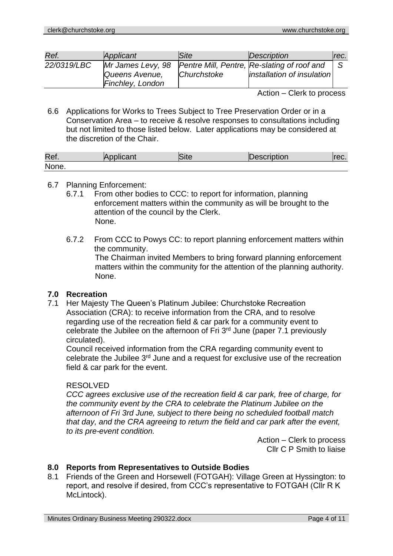| Ref.        | Applicant                          | <b>Site</b> | Description                                                                                   | rec. |
|-------------|------------------------------------|-------------|-----------------------------------------------------------------------------------------------|------|
| 22/0319/LBC | Queens Avenue,<br>Finchley, London | Churchstoke | Mr James Levy, 98   Pentre Mill, Pentre, Re-slating of roof and<br>installation of insulation |      |
|             |                                    |             | ____                                                                                          |      |

Action – Clerk to process

6.6 Applications for Works to Trees Subject to Tree Preservation Order or in a Conservation Area – to receive & resolve responses to consultations including but not limited to those listed below. Later applications may be considered at the discretion of the Chair.

| Ref.  | plicant<br>ъA. | סונס | ID<br>escription | συ. |
|-------|----------------|------|------------------|-----|
| None. |                |      |                  |     |

#### 6.7 Planning Enforcement:

- 6.7.1 From other bodies to CCC: to report for information, planning enforcement matters within the community as will be brought to the attention of the council by the Clerk. None.
- 6.7.2 From CCC to Powys CC: to report planning enforcement matters within the community. The Chairman invited Members to bring forward planning enforcement matters within the community for the attention of the planning authority. None.

#### **7.0 Recreation**

7.1 Her Majesty The Queen's Platinum Jubilee: Churchstoke Recreation Association (CRA): to receive information from the CRA, and to resolve regarding use of the recreation field & car park for a community event to celebrate the Jubilee on the afternoon of Fri 3rd June (paper 7.1 previously circulated).

Council received information from the CRA regarding community event to celebrate the Jubilee 3rd June and a request for exclusive use of the recreation field & car park for the event.

#### RESOLVED

*CCC agrees exclusive use of the recreation field & car park, free of charge, for the community event by the CRA to celebrate the Platinum Jubilee on the afternoon of Fri 3rd June, subject to there being no scheduled football match that day, and the CRA agreeing to return the field and car park after the event, to its pre-event condition.*

Action – Clerk to process Cllr C P Smith to liaise

## **8.0 Reports from Representatives to Outside Bodies**

8.1 Friends of the Green and Horsewell (FOTGAH): Village Green at Hyssington: to report, and resolve if desired, from CCC's representative to FOTGAH (Cllr R K McLintock).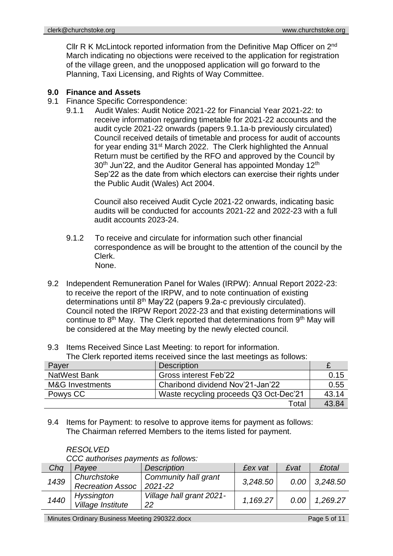Cllr R K McLintock reported information from the Definitive Map Officer on 2<sup>nd</sup> March indicating no objections were received to the application for registration of the village green, and the unopposed application will go forward to the Planning, Taxi Licensing, and Rights of Way Committee.

## **9.0 Finance and Assets**

- 9.1 Finance Specific Correspondence:
	- 9.1.1 Audit Wales: Audit Notice 2021-22 for Financial Year 2021-22: to receive information regarding timetable for 2021-22 accounts and the audit cycle 2021-22 onwards (papers 9.1.1a-b previously circulated) Council received details of timetable and process for audit of accounts for year ending 31<sup>st</sup> March 2022. The Clerk highlighted the Annual Return must be certified by the RFO and approved by the Council by 30<sup>th</sup> Jun'22, and the Auditor General has appointed Monday 12<sup>th</sup> Sep'22 as the date from which electors can exercise their rights under the Public Audit (Wales) Act 2004.

Council also received Audit Cycle 2021-22 onwards, indicating basic audits will be conducted for accounts 2021-22 and 2022-23 with a full audit accounts 2023-24.

- 9.1.2 To receive and circulate for information such other financial correspondence as will be brought to the attention of the council by the Clerk. None.
- 9.2 Independent Remuneration Panel for Wales (IRPW): Annual Report 2022-23: to receive the report of the IRPW, and to note continuation of existing determinations until 8th May'22 (papers 9.2a-c previously circulated). Council noted the IRPW Report 2022-23 and that existing determinations will continue to 8<sup>th</sup> May. The Clerk reported that determinations from 9<sup>th</sup> May will be considered at the May meeting by the newly elected council.

|  | 9.3 Items Received Since Last Meeting: to report for information. |  |
|--|-------------------------------------------------------------------|--|
|--|-------------------------------------------------------------------|--|

|  | The Clerk reported items received since the last meetings as follows: |  |
|--|-----------------------------------------------------------------------|--|
|  |                                                                       |  |

| Payer           | <b>Description</b>                     |       |
|-----------------|----------------------------------------|-------|
| NatWest Bank    | <b>Gross interest Feb'22</b>           | 0.15  |
| M&G Investments | Charibond dividend Nov'21-Jan'22       | 0.55  |
| Powys CC        | Waste recycling proceeds Q3 Oct-Dec'21 | 43.14 |
|                 | Total                                  | 43.84 |

9.4 Items for Payment: to resolve to approve items for payment as follows: The Chairman referred Members to the items listed for payment.

|      | CCC authorises payments as follows:    |                                     |                |      |               |
|------|----------------------------------------|-------------------------------------|----------------|------|---------------|
| Chq  | Pavee                                  | <b>Description</b>                  | <b>£ex vat</b> | £vat | <b>£total</b> |
| 1439 | Churchstoke<br><b>Recreation Assoc</b> | Community hall grant<br>$2021 - 22$ | 3,248.50       | 0.00 | 3,248.50      |
| 1440 | Hyssington<br>Village Institute        | Village hall grant 2021-<br>22      | 1,169.27       | 0.00 | 1.269.27      |

#### *RESOLVED*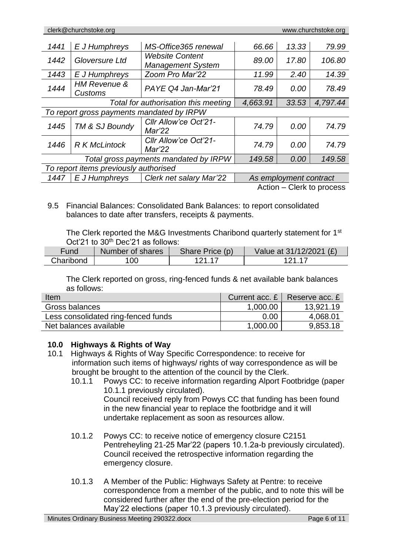| 1441                                  | E J Humphreys                             | MS-Office365 renewal                               | 66.66    | 13.33                  | 79.99                   |
|---------------------------------------|-------------------------------------------|----------------------------------------------------|----------|------------------------|-------------------------|
| 1442                                  | Gloversure Ltd                            | <b>Website Content</b><br><b>Management System</b> | 89.00    | 17.80                  | 106.80                  |
| 1443                                  | E J Humphreys                             | Zoom Pro Mar'22                                    | 11.99    | 2.40                   | 14.39                   |
| 1444                                  | <b>HM Revenue &amp;</b><br>Customs        | PAYE Q4 Jan-Mar'21                                 | 78.49    | 0.00                   | 78.49                   |
| Total for authorisation this meeting  |                                           |                                                    | 4,663.91 | 33.53                  | 4,797.44                |
|                                       | To report gross payments mandated by IRPW |                                                    |          |                        |                         |
| 1445                                  | TM & SJ Boundy                            | Cllr Allow'ce Oct'21-<br>Mar'22                    | 74.79    | 0.00                   | 74.79                   |
| 1446                                  | <b>R K McLintock</b>                      | Cllr Allow'ce Oct'21-<br>Mar'22                    | 74.79    | 0.00                   | 74.79                   |
| Total gross payments mandated by IRPW |                                           |                                                    | 149.58   | 0.00                   | 149.58                  |
|                                       | To report items previously authorised     |                                                    |          |                        |                         |
| 1447                                  | E J Humphreys                             | Clerk net salary Mar'22                            |          | As employment contract |                         |
|                                       |                                           |                                                    |          |                        | Action Clark to proposo |

Action – Clerk to process

9.5 Financial Balances: Consolidated Bank Balances: to report consolidated balances to date after transfers, receipts & payments.

The Clerk reported the M&G Investments Charibond quarterly statement for 1<sup>st</sup> Oct'21 to 30<sup>th</sup> Dec'21 as follows:

| Fund      | Number of shares | Share Price (p) | Value at 31/12/2021 (£) |
|-----------|------------------|-----------------|-------------------------|
| Charibond | 100.             | 121 17          | 121 17                  |

The Clerk reported on gross, ring-fenced funds & net available bank balances as follows:

| Item                                |          | Current acc. $E \mid$ Reserve acc. $E \mid$ |
|-------------------------------------|----------|---------------------------------------------|
| Gross balances                      | 1,000.00 | 13,921.19                                   |
| Less consolidated ring-fenced funds | 0.00     | 4,068.01                                    |
| Net balances available              | 1,000.00 | 9,853.18                                    |

#### **10.0 Highways & Rights of Way**

- 10.1 Highways & Rights of Way Specific Correspondence: to receive for information such items of highways/ rights of way correspondence as will be brought be brought to the attention of the council by the Clerk.
	- 10.1.1 Powys CC: to receive information regarding Alport Footbridge (paper 10.1.1 previously circulated). Council received reply from Powys CC that funding has been found in the new financial year to replace the footbridge and it will undertake replacement as soon as resources allow.
	- 10.1.2 Powys CC: to receive notice of emergency closure C2151 Pentreheyling 21-25 Mar'22 (papers 10.1.2a-b previously circulated). Council received the retrospective information regarding the emergency closure.
	- 10.1.3 A Member of the Public: Highways Safety at Pentre: to receive correspondence from a member of the public, and to note this will be considered further after the end of the pre-election period for the May'22 elections (paper 10.1.3 previously circulated).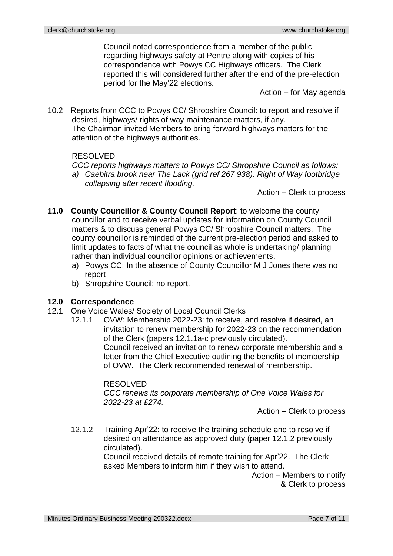Council noted correspondence from a member of the public regarding highways safety at Pentre along with copies of his correspondence with Powys CC Highways officers. The Clerk reported this will considered further after the end of the pre-election period for the May'22 elections.

Action – for May agenda

10.2 Reports from CCC to Powys CC/ Shropshire Council: to report and resolve if desired, highways/ rights of way maintenance matters, if any. The Chairman invited Members to bring forward highways matters for the attention of the highways authorities.

#### RESOLVED

*CCC reports highways matters to Powys CC/ Shropshire Council as follows: a) Caebitra brook near The Lack (grid ref 267 938): Right of Way footbridge collapsing after recent flooding.*

Action – Clerk to process

- **11.0 County Councillor & County Council Report**: to welcome the county councillor and to receive verbal updates for information on County Council matters & to discuss general Powys CC/ Shropshire Council matters. The county councillor is reminded of the current pre-election period and asked to limit updates to facts of what the council as whole is undertaking/ planning rather than individual councillor opinions or achievements.
	- a) Powys CC: In the absence of County Councillor M J Jones there was no report
	- b) Shropshire Council: no report.

#### **12.0 Correspondence**

- 12.1 One Voice Wales/ Society of Local Council Clerks
- 12.1.1 OVW: Membership 2022-23: to receive, and resolve if desired, an invitation to renew membership for 2022-23 on the recommendation of the Clerk (papers 12.1.1a-c previously circulated). Council received an invitation to renew corporate membership and a letter from the Chief Executive outlining the benefits of membership of OVW. The Clerk recommended renewal of membership.

#### RESOLVED

*CCC renews its corporate membership of One Voice Wales for 2022-23 at £274.*

Action – Clerk to process

12.1.2 Training Apr'22: to receive the training schedule and to resolve if desired on attendance as approved duty (paper 12.1.2 previously circulated).

Council received details of remote training for Apr'22. The Clerk asked Members to inform him if they wish to attend.

Action – Members to notify & Clerk to process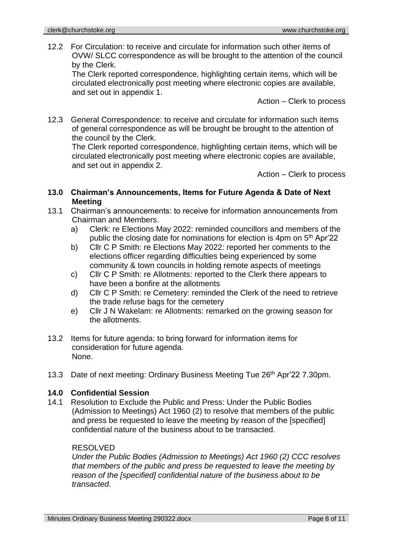12.2 For Circulation: to receive and circulate for information such other items of OVW/ SLCC correspondence as will be brought to the attention of the council by the Clerk.

The Clerk reported correspondence, highlighting certain items, which will be circulated electronically post meeting where electronic copies are available, and set out in appendix 1.

Action – Clerk to process

12.3 General Correspondence: to receive and circulate for information such items of general correspondence as will be brought be brought to the attention of the council by the Clerk.

The Clerk reported correspondence, highlighting certain items, which will be circulated electronically post meeting where electronic copies are available, and set out in appendix 2.

Action – Clerk to process

- **13.0 Chairman's Announcements, Items for Future Agenda & Date of Next Meeting**
- 13.1 Chairman's announcements: to receive for information announcements from Chairman and Members.
	- a) Clerk: re Elections May 2022: reminded councillors and members of the public the closing date for nominations for election is 4pm on 5<sup>th</sup> Apr'22
	- b) Cllr C P Smith: re Elections May 2022: reported her comments to the elections officer regarding difficulties being experienced by some community & town councils in holding remote aspects of meetings
	- c) Cllr C P Smith: re Allotments: reported to the Clerk there appears to have been a bonfire at the allotments
	- d) Cllr C P Smith: re Cemetery: reminded the Clerk of the need to retrieve the trade refuse bags for the cemetery
	- e) Cllr J N Wakelam: re Allotments: remarked on the growing season for the allotments.
- 13.2 Items for future agenda: to bring forward for information items for consideration for future agenda. None.
- 13.3 Date of next meeting: Ordinary Business Meeting Tue 26<sup>th</sup> Apr'22 7.30pm.

#### **14.0 Confidential Session**

14.1 Resolution to Exclude the Public and Press: Under the Public Bodies (Admission to Meetings) Act 1960 (2) to resolve that members of the public and press be requested to leave the meeting by reason of the [specified] confidential nature of the business about to be transacted.

#### RESOLVED

*Under the Public Bodies (Admission to Meetings) Act 1960 (2) CCC resolves that members of the public and press be requested to leave the meeting by reason of the [specified] confidential nature of the business about to be transacted*.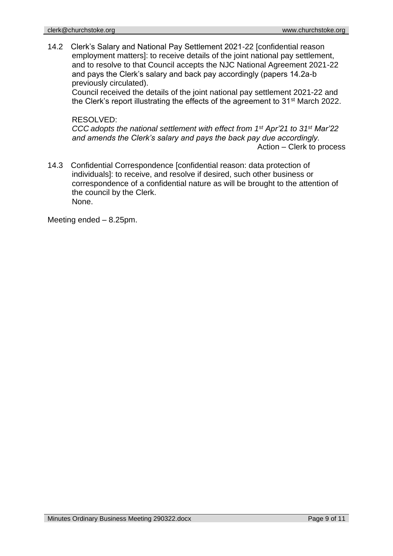14.2 Clerk's Salary and National Pay Settlement 2021-22 [confidential reason employment matters]: to receive details of the joint national pay settlement, and to resolve to that Council accepts the NJC National Agreement 2021-22 and pays the Clerk's salary and back pay accordingly (papers 14.2a-b previously circulated).

Council received the details of the joint national pay settlement 2021-22 and the Clerk's report illustrating the effects of the agreement to 31<sup>st</sup> March 2022.

#### RESOLVED:

*CCC adopts the national settlement with effect from 1st Apr'21 to 31st Mar'22 and amends the Clerk's salary and pays the back pay due accordingly.* Action – Clerk to process

14.3 Confidential Correspondence [confidential reason: data protection of individuals]: to receive, and resolve if desired, such other business or correspondence of a confidential nature as will be brought to the attention of the council by the Clerk. None.

Meeting ended – 8.25pm.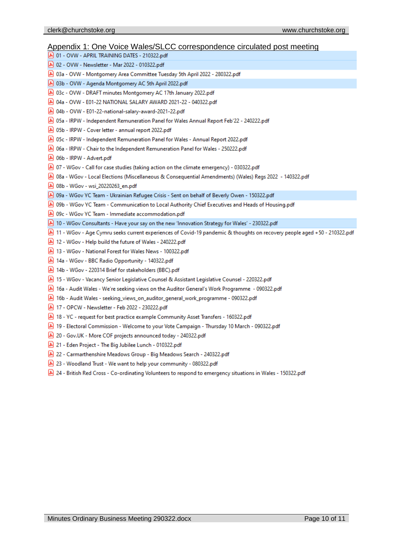#### Appendix 1: One Voice Wales/SLCC correspondence circulated post meeting

| <u>reportant i: Ono voice traice occioeponaenee encalated</u>                                                               |
|-----------------------------------------------------------------------------------------------------------------------------|
| 8 01 - OVW - APRIL TRAINING DATES - 210322.pdf                                                                              |
| 8 02 - OVW - Newsletter - Mar 2022 - 010322.pdf                                                                             |
| 80322.pdf 03a - OVW - Montgomery Area Committee Tuesday 5th April 2022 - 280322.pdf                                         |
| 8 03b - OVW - Agenda Montgomery AC 5th April 2022.pdf                                                                       |
| 03c - OVW - DRAFT minutes Montgomery AC 17th January 2022.pdf                                                               |
| 8 04a - OVW - E01-22 NATIONAL SALARY AWARD 2021-22 - 040322.pdf                                                             |
| 8 04b - OVW - E01-22-national-salary-award-2021-22.pdf                                                                      |
| 05a - IRPW - Independent Remuneration Panel for Wales Annual Report Feb'22 - 240222.pdf                                     |
| 05b - IRPW - Cover letter - annual report 2022.pdf                                                                          |
| 8022.pdf 05c - IRPW - Independent Remuneration Panel for Wales - Annual Report 2022.pdf                                     |
| 06a - IRPW - Chair to the Independent Remuneration Panel for Wales - 250222.pdf                                             |
| 8 06b - IRPW - Advert.pdf                                                                                                   |
| 07 - WGov - Call for case studies (taking action on the climate emergency) - 030322.pdf                                     |
| 081 - 2022 - 140322.pdf (Miscellaneous & Consequential Amendments) (Wales) Regs 2022 - 140322.pdf                           |
| A 08b - WGov - wsi 20220263_en.pdf                                                                                          |
| O9a - WGov YC Team - Ukrainian Refugee Crisis - Sent on behalf of Beverly Owen - 150322.pdf هج                              |
| O9b - WGov YC Team - Communication to Local Authority Chief Executives and Heads of Housing.pdf والمع                       |
| 8 09c - WGov YC Team - Immediate accommodation.pdf                                                                          |
| A 10 - WGov Consultants - Have your say on the new 'Innovation Strategy for Wales' - 230322.pdf                             |
| A) 11 - WGov - Age Cymru seeks current experiences of Covid-19 pandemic & thoughts on recovery people aged +50 - 210322.pdf |
| A 12 - WGov - Help build the future of Wales - 240222.pdf                                                                   |
| A 13 - WGov - National Forest for Wales News - 100322.pdf                                                                   |
| 140322.pdf - 140322.pdf                                                                                                     |
| A 14b - WGov - 220314 Brief for stakeholders (BBC).pdf                                                                      |
|                                                                                                                             |
| 15 - WGov - Vacancy Senior Legislative Counsel & Assistant Legislative Counsel - 220322.pdf                                 |
| 16a - Audit Wales - We're seeking views on the Auditor General's Work Programme - 090322.pdf [هرا                           |
| A 16b - Audit Wales - seeking_views_on_auditor_general_work_programme - 090322.pdf                                          |
| [A] 17 - OPCW - Newsletter - Feb 2022 - 230222.pdf                                                                          |
| 18 - YC - request for best practice example Community Asset Transfers - 160322.pdf                                          |
| 19 - Electoral Commission - Welcome to your Vote Campaign - Thursday 10 March - 090322.pdf                                  |
| 20 - Gov.UK - More COF projects announced today - 240322.pdf                                                                |
| A 21 - Eden Project - The Big Jubilee Lunch - 010322.pdf                                                                    |
| 22 - Carmarthenshire Meadows Group - Big Meadows Search - 240322.pdf                                                        |
| 23 - Woodland Trust - We want to help your community - 080322.pdf                                                           |